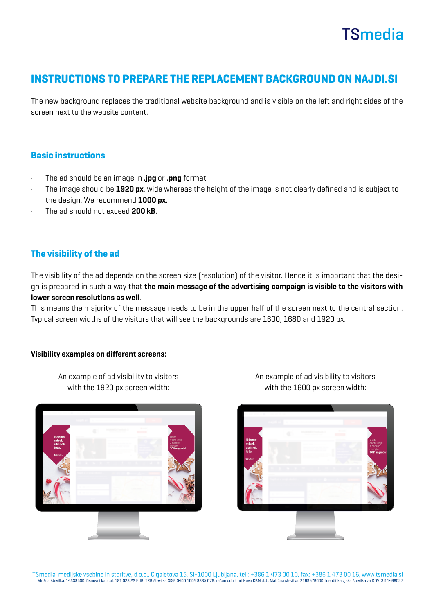## **TSmedia**

### INSTRUCTIONS TO PREPARE THE REPLACEMENT BACKGROUND ON NAJDI.SI

The new background replaces the traditional website background and is visible on the left and right sides of the screen next to the website content.

#### Basic instructions

- The ad should be an image in .jpg or .png format.
- The image should be 1920 px, wide whereas the height of the image is not clearly defined and is subject to the design. We recommend 1000 px.
- The ad should not exceed 200 kB.

#### The visibility of the ad

The visibility of the ad depends on the screen size (resolution) of the visitor. Hence it is important that the design is prepared in such a way that the main message of the advertising campaign is visible to the visitors with lower screen resolutions as well.

This means the majority of the message needs to be in the upper half of the screen next to the central section. Typical screen widths of the visitors that will see the backgrounds are 1600, 1680 and 1920 px.

#### Visibility examples on different screens:

An example of ad visibility to visitors with the 1920 px screen width:



An example of ad visibility to visitors with the 1600 px screen width: